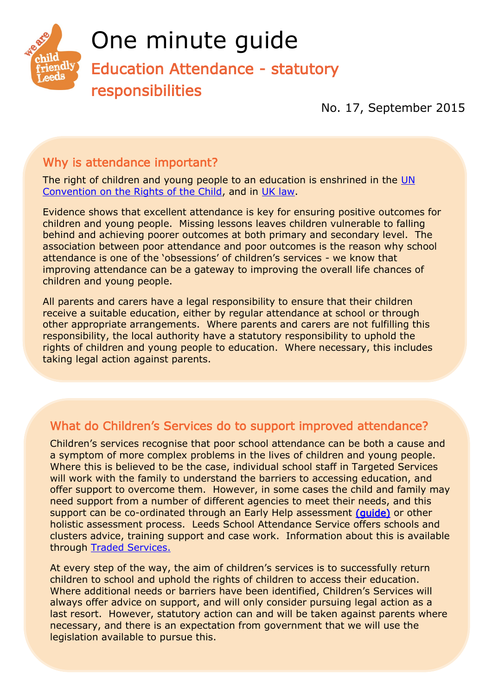

# One minute guide

Education Attendance - statutory responsibilities

No. 17, September 2015

## Why is attendance important?

The right of children and young people to an education is enshrined in the [UN](http://www.unicef.org/crc/files/Rights_overview.pdf)  [Convention on the Rights of the Child,](http://www.unicef.org/crc/files/Rights_overview.pdf) and in [UK law.](http://www.education.gov.uk/schools/pupilsupport/behaviour/attendance) 

Evidence shows that excellent attendance is key for ensuring positive outcomes for children and young people. Missing lessons leaves children vulnerable to falling behind and achieving poorer outcomes at both primary and secondary level. The association between poor attendance and poor outcomes is the reason why school attendance is one of the 'obsessions' of children's services - we know that improving attendance can be a gateway to improving the overall life chances of children and young people.

All parents and carers have a legal responsibility to ensure that their children receive a suitable education, either by regular attendance at school or through other appropriate arrangements. Where parents and carers are not fulfilling this responsibility, the local authority have a statutory responsibility to uphold the rights of children and young people to education. Where necessary, this includes taking legal action against parents.

### What do Children's Services do to support improved attendance?

Children's services recognise that poor school attendance can be both a cause and a symptom of more complex problems in the lives of children and young people. Where this is believed to be the case, individual school staff in Targeted Services will work with the family to understand the barriers to accessing education, and offer support to overcome them. However, in some cases the child and family may need support from a number of different agencies to meet their needs, and this support can be co-ordinated through an Early Help assessment [\(guide\)](http://www.leeds.gov.uk/docs/33%20-%20Early%20Help%20-%20May%202014.pdf) or other holistic assessment process. Leeds School Attendance Service offers schools and clusters advice, training support and case work. Information about this is available through [Traded Services.](http://www.leedsforlearning.co.uk/)

At every step of the way, the aim of children's services is to successfully return children to school and uphold the rights of children to access their education. Where additional needs or barriers have been identified, Children's Services will always offer advice on support, and will only consider pursuing legal action as a last resort. However, statutory action can and will be taken against parents where necessary, and there is an expectation from government that we will use the legislation available to pursue this.